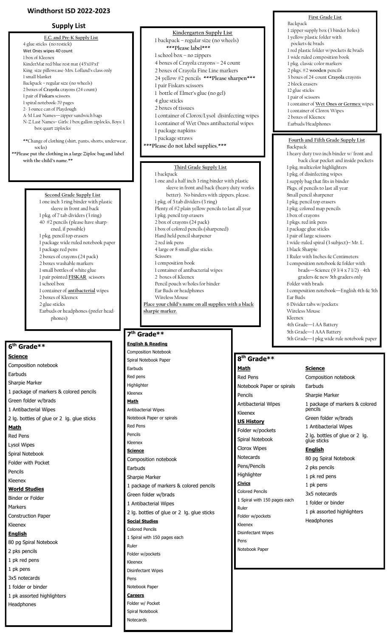## **Windthorst ISD 2022-2023**

## **Supply List**

**E.C. and Pre-K Supply List** 4 glue sticks (no restick) Wet Ones wipes 40 count 1 box of Kleenex KinderMat red/blue rest mat (45'x19'x1' King size pillowcase-Mrs. Lofland's class only 1 small blanket Backpack – regular size (no wheels) 2 boxes of **Crayola** crayons (24 count) 1 pair of **Fiskars** scissors 1 spiral notebook-70 pages 2- 3 ounce can of Playdough A-M Last Names—zipper sandwich bags N-Z Last Names– Girls: 1 box gallon ziplocks, Boys: 1 box quart ziplocks **\*\***Change of clothing (shirt, pants, shorts, underwear, socks) **\*\*Please put the clothing in a large Ziploc bag and label with the child's name.\*\* Second Grade Supply List**

1 one inch 3 ring binder with plastic sleeve in front and back 1 pkg. of 7 tab dividers (3 ring) 40 #2 pencils (please have sharpened, if possible) 1 pkg. pencil top erasers 1 package wide ruled notebook paper 1 package red pens 2 boxes of crayons (24 pack) 2 boxes washable markers 1 small bottles of white glue 1 pair pointed **FISKAR** scissors 1 school box 1 container of **antibacterial** wipes 2 boxes of Kleenex

2 glue sticks Earbuds or headphones (prefer headphones)

## **6 th Grade\*\***

Headphones

## **Science** Composition notebook Earbuds Sharpie Marker 1 package of markers & colored pencils Green folder w/brads 1 Antibacterial Wipes 2 lg. bottles of glue or 2 lg. glue sticks **Math** Red Pens Lysol Wipes Spiral Notebook Folder with Pocket Pencils Kleenex **World Studies** Binder or Folder Markers Construction Paper Kleenex **English** 80 pg Spiral Notebook 2 pks pencils 1 pk red pens 1 pk pens 3x5 notecards 1 folder or binder 1 pk assorted highlighters

4 boxes of Crayola crayons – 24 count 2 boxes of Crayola Fine Line markers 24 yellow #2 pencils **\*\*\*Please sharpen\*\*\*** 1 pair Fiskars scissors 1 bottle of Elmer's glue (no gel) 4 glue sticks 2 boxes of tissues 1 container of Clorox/Lysol disinfecting wipes 1 container of Wet Ones antibacterial wipes 1 package napkins 1 package straws **\*\*\*Please do not label supplies.\*\*\* Third Grade Supply List** 1 backpack 1 one and a half inch 3 ring binder with plastic sleeve in front and back (heavy duty works better). No binders with zippers, please. 1 pkg. of 5 tab dividers (3 ring) Plenty of #2 plain yellow pencils to last all year 1 pkg. pencil top erasers 2 box of crayons (24 pack)

**Kindergarten Supply List** 1 backpack – regular size (no wheels) **\*\*\*Please label\*\*\*** 1 school box – no zippers

1 box of colored pencils (sharpened) Hand held pencil sharpener 2 red ink pens 4 large or 8 small glue sticks Scissors 1 composition book 1 container of antibacterial wipes 2 boxes of Kleenex Pencil pouch w/holes for binder Ear Buds or headphones Wireless Mouse

**Place your child's name on all supplies with a black sharpie marker.**

## **7 th Grade\*\***

**English & Reading** Composition Notebook Spiral Notebook Paper Earbuds Red pens Highlighter Kleenex **Math** Antibacterial Wipes Notebook Paper or spirals Red Pens Pencils Kleenex **Science** Composition notebook Earbuds Sharpie Marker 1 package of markers & colored pencils Green folder w/brads 1 Antibacterial Wipes 2 lg. bottles of glue or 2 lg. glue sticks **Social Studies** Colored Pencils 1 Spiral with 150 pages each Ruler Folder w/pockets Kleenex Disinfectant Wipes Pens Notebook Paper **Careers** Folder w/ Pocket Spiral Notebook

Notecards

#### **First Grade List** Backpack

- 1 zipper supply box (3 binder holes) 1 yellow plastic folder with pockets & brads
- 1 red plastic folder w/pockets & brads
- 1 wide ruled composition book
- 1 pkg. classic color marker
- 2 pkgs. #2 **wooden** pencils 3 boxes of 24-count **Crayola** crayons
- 2 block erasers
- 12 glue sticks
- 1 pair of scissors
- 1 container of **Wet Ones or Germex** wipes
- 1 container of Clorox Wipes
- 2 boxes of Kleenex Earbuds/Headphones

#### **Fourth and Fifth Grade Supply List** Backpack

1 heavy duty two inch binder w/ front and back clear pocket and inside pockets 1 pkg. multicolor highlighters 1 pkg. of disinfecting wipes 1 supply bag that fits in binder Pkgs. of pencils to last all year Small pencil sharpener 1 pkg. pencil top erasers 1 pkg. colored map pencils 1 box of crayons 1 pkgs. red ink pens 1 package glue sticks 1 pair of large scissors 1 wide-ruled spiral (3 subject)– Mr. L. 1 black Sharpie 1 Ruler with Inches & Centimeters 1 composition notebook & folder with brads—Science (9 3/4 x 7 1/2) - 4th graders & new 5th graders only Folder with brads 1 composition notebook—English 4th & 5th Ear Buds 6 Divider tabs w/pockets Wireless Mouse Kleenex 4th Grade—1 AA Battery 5th Grade—1 AAA Battery 5th Grade—1 pkg wide rule notebook paper

## **8 th Grade\*\***

**Math** Red Pens Notebook Paper or spirals Pencils Antibacterial Wipes Kleenex **US History** Folder w/pockets Spiral Notebook Clorox Wipes Notecards Pens/Pencils **Highlighter Civics** Colored Pencils 1 Spiral with 150 pages each Ruler Folder w/pockets Kleenex Disinfectant Wipes

Pens

Notebook Paper

#### **Science**

Composition notebook Earbuds Sharpie Marker 1 package of markers & colored pencils Green folder w/brads 1 Antibacterial Wipes 2 lg. bottles of glue or 2 lg. glue sticks **English** 80 pg Spiral Notebook 2 pks pencils 1 pk red pens 1 pk pens 3x5 notecards 1 folder or binder 1 pk assorted highlighters **Headphones**